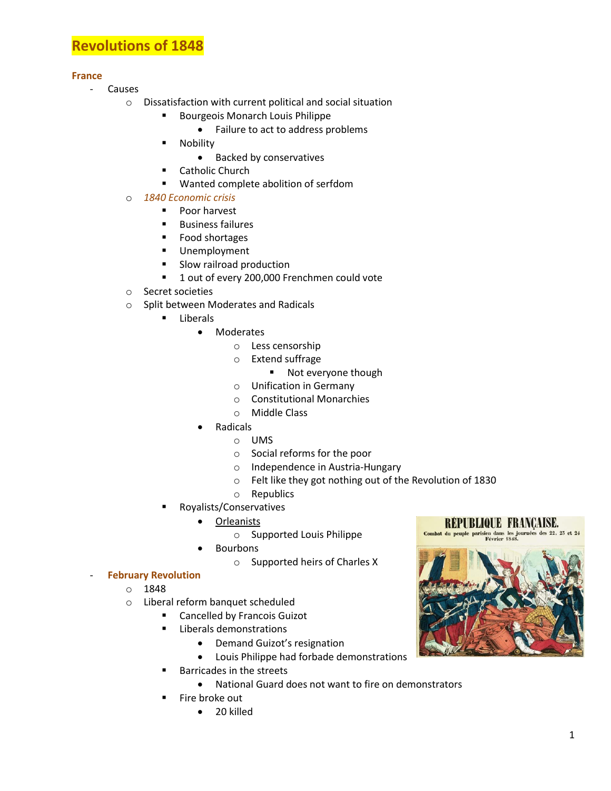# **Revolutions of 1848**

# **France**

- Causes
	- o Dissatisfaction with current political and social situation
		- Bourgeois Monarch Louis Philippe
			- Failure to act to address problems
		- Nobility
			- Backed by conservatives
		- **E** Catholic Church
		- Wanted complete abolition of serfdom
	- o *1840 Economic crisis*
		- **Poor harvest**
		- **Business failures**
		- **Food shortages**
		- **Unemployment**
		- **Slow railroad production**
		- 1 out of every 200,000 Frenchmen could vote
	- o Secret societies
	- o Split between Moderates and Radicals
		- **E** Liberals
			- Moderates
				- o Less censorship
				- o Extend suffrage
					- **Not everyone though**
				- o Unification in Germany
				- o Constitutional Monarchies
				- o Middle Class
				- Radicals
					- o UMS
					- o Social reforms for the poor
					- o Independence in Austria-Hungary
					- o Felt like they got nothing out of the Revolution of 1830
			- o Republics
		- Royalists/Conservatives
			- Orleanists
				- o Supported Louis Philippe
			- Bourbons
				- o Supported heirs of Charles X

# - **February Revolution**

- o 1848
- o Liberal reform banquet scheduled
	- **EXEC** Cancelled by Francois Guizot
	- **EXECUTE:** Liberals demonstrations
		- Demand Guizot's resignation
		- Louis Philippe had forbade demonstrations
	- Barricades in the streets
		- National Guard does not want to fire on demonstrators
	- Fire broke out
		- 20 killed

**RÉPUBLIQUE FRANCAISE.** 

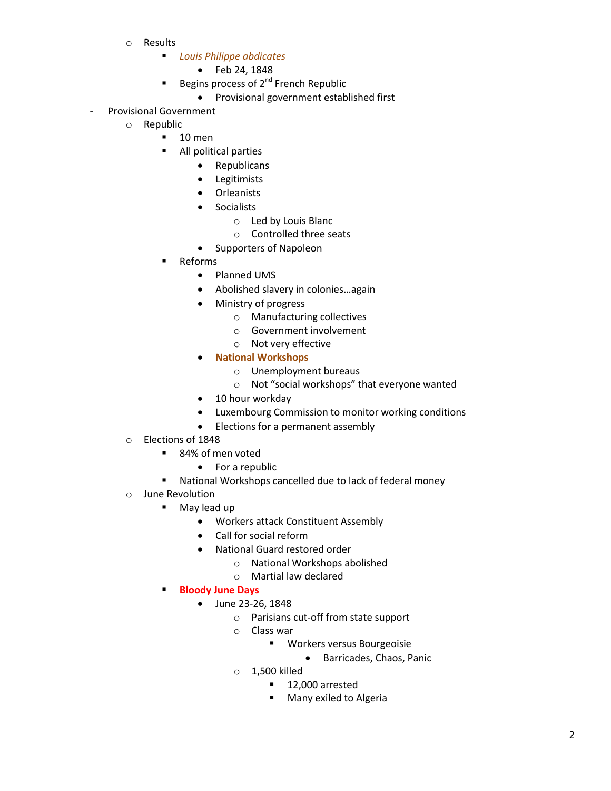- o Results
	- *Louis Philippe abdicates*
		- Feb 24, 1848
	- Begins process of 2<sup>nd</sup> French Republic
		- Provisional government established first
- Provisional Government
	- o Republic
		- $-10$  men
		- **All political parties** 
			- Republicans
			- Legitimists
			- **Orleanists**
			- **•** Socialists
				- o Led by Louis Blanc
				- o Controlled three seats
			- Supporters of Napoleon
		- Reforms
			- Planned UMS
			- Abolished slavery in colonies…again
			- Ministry of progress
				- o Manufacturing collectives
				- o Government involvement
				- o Not very effective
			- **National Workshops**
				- o Unemployment bureaus
				- o Not "social workshops" that everyone wanted
			- 10 hour workday
			- Luxembourg Commission to monitor working conditions
			- Elections for a permanent assembly
	- o Elections of 1848
		- 84% of men voted
			- For a republic
		- National Workshops cancelled due to lack of federal money
	- o June Revolution
		- **May lead up** 
			- Workers attack Constituent Assembly
			- Call for social reform
			- National Guard restored order
				- o National Workshops abolished
				- o Martial law declared
		- **Bloody June Days**
			- June 23-26, 1848
				- o Parisians cut-off from state support
				- o Class war
					- Workers versus Bourgeoisie
						- **•** Barricades, Chaos, Panic
				- o 1,500 killed
					- 12,000 arrested
					- **Many exiled to Algeria**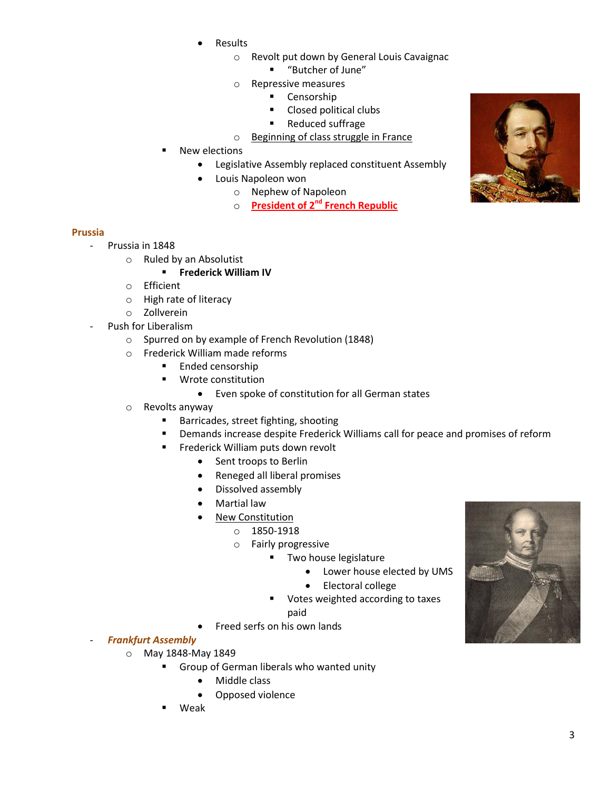- Results
	- o Revolt put down by General Louis Cavaignac
		- "Butcher of June"
	- o Repressive measures
		- **Censorship**
		- Closed political clubs
		- Reduced suffrage
	- o Beginning of class struggle in France
- New elections
	- Legislative Assembly replaced constituent Assembly
	- Louis Napoleon won
		- o Nephew of Napoleon
		- o **President of 2nd French Republic**

#### **Prussia**

- Prussia in 1848
	- o Ruled by an Absolutist

# **Frederick William IV**

- o Efficient
- o High rate of literacy
- o Zollverein
- Push for Liberalism
	- o Spurred on by example of French Revolution (1848)
	- o Frederick William made reforms
		- **Ended censorship**
		- **Wrote constitution** 
			- Even spoke of constitution for all German states
	- o Revolts anyway
		- **Barricades, street fighting, shooting**
		- **•** Demands increase despite Frederick Williams call for peace and promises of reform
		- **FILM** Frederick William puts down revolt
			- Sent troops to Berlin
			- Reneged all liberal promises
			- Dissolved assembly
			- Martial law
			- New Constitution
				- o 1850-1918
				- o Fairly progressive
					- **Two house legislature** 
						- Lower house elected by UMS
						- Electoral college
					- Votes weighted according to taxes paid
						-
			- Freed serfs on his own lands
- *Frankfurt Assembly*
	- o May 1848-May 1849
		- Group of German liberals who wanted unity
			- Middle class
			- Opposed violence
		- Weak



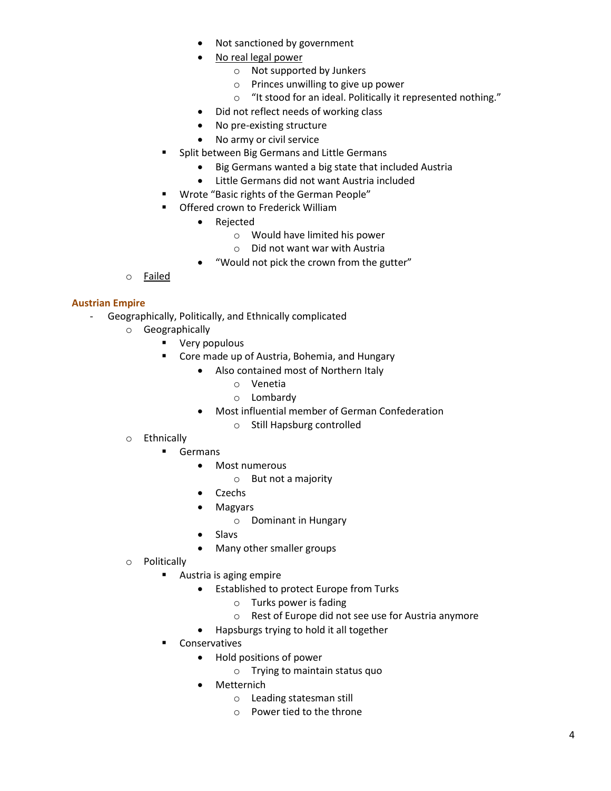- Not sanctioned by government
- No real legal power
	- o Not supported by Junkers
	- o Princes unwilling to give up power
	- o "It stood for an ideal. Politically it represented nothing."
- Did not reflect needs of working class
- No pre-existing structure
- No army or civil service
- Split between Big Germans and Little Germans
	- Big Germans wanted a big state that included Austria
	- Little Germans did not want Austria included
- **Wrote "Basic rights of the German People"**
- **Offered crown to Frederick William** 
	- Rejected
		- o Would have limited his power
		- o Did not want war with Austria
	- "Would not pick the crown from the gutter"
- o Failed

# **Austrian Empire**

- Geographically, Politically, and Ethnically complicated
	- o Geographically
		- **•** Very populous
		- **E** Core made up of Austria, Bohemia, and Hungary
			- Also contained most of Northern Italy
				- o Venetia
				- o Lombardy
			- Most influential member of German Confederation
				- o Still Hapsburg controlled
	- o Ethnically
		- Germans
			- Most numerous
				- o But not a majority
			- Czechs
			- Magyars
				- o Dominant in Hungary
			- Slavs
			- Many other smaller groups
	- o Politically
		- **Austria is aging empire** 
			- **•** Established to protect Europe from Turks
				- o Turks power is fading
				- o Rest of Europe did not see use for Austria anymore
			- Hapsburgs trying to hold it all together
		- Conservatives
			- Hold positions of power
				- o Trying to maintain status quo
			- Metternich
				- o Leading statesman still
				- o Power tied to the throne